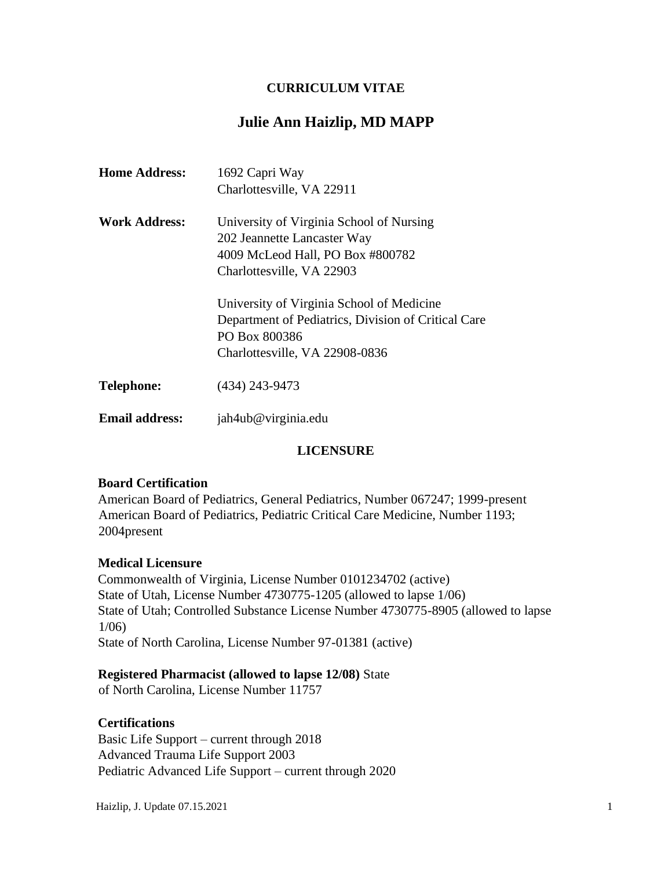## **CURRICULUM VITAE**

# **Julie Ann Haizlip, MD MAPP**

| <b>Home Address:</b>  | 1692 Capri Way                                                          |
|-----------------------|-------------------------------------------------------------------------|
|                       | Charlottesville, VA 22911                                               |
| <b>Work Address:</b>  | University of Virginia School of Nursing<br>202 Jeannette Lancaster Way |
|                       | 4009 McLeod Hall, PO Box #800782                                        |
|                       | Charlottesville, VA 22903                                               |
|                       | University of Virginia School of Medicine                               |
|                       | Department of Pediatrics, Division of Critical Care<br>PO Box 800386    |
|                       | Charlottesville, VA 22908-0836                                          |
|                       |                                                                         |
| <b>Telephone:</b>     | $(434)$ 243-9473                                                        |
| <b>Email address:</b> | jah4ub@virginia.edu                                                     |

## **LICENSURE**

#### **Board Certification**

American Board of Pediatrics, General Pediatrics, Number 067247; 1999-present American Board of Pediatrics, Pediatric Critical Care Medicine, Number 1193; 2004present

#### **Medical Licensure**

Commonwealth of Virginia, License Number 0101234702 (active) State of Utah, License Number 4730775-1205 (allowed to lapse 1/06) State of Utah; Controlled Substance License Number 4730775-8905 (allowed to lapse 1/06) State of North Carolina, License Number 97-01381 (active)

#### **Registered Pharmacist (allowed to lapse 12/08)** State

of North Carolina, License Number 11757

#### **Certifications**

Basic Life Support – current through 2018 Advanced Trauma Life Support 2003 Pediatric Advanced Life Support – current through 2020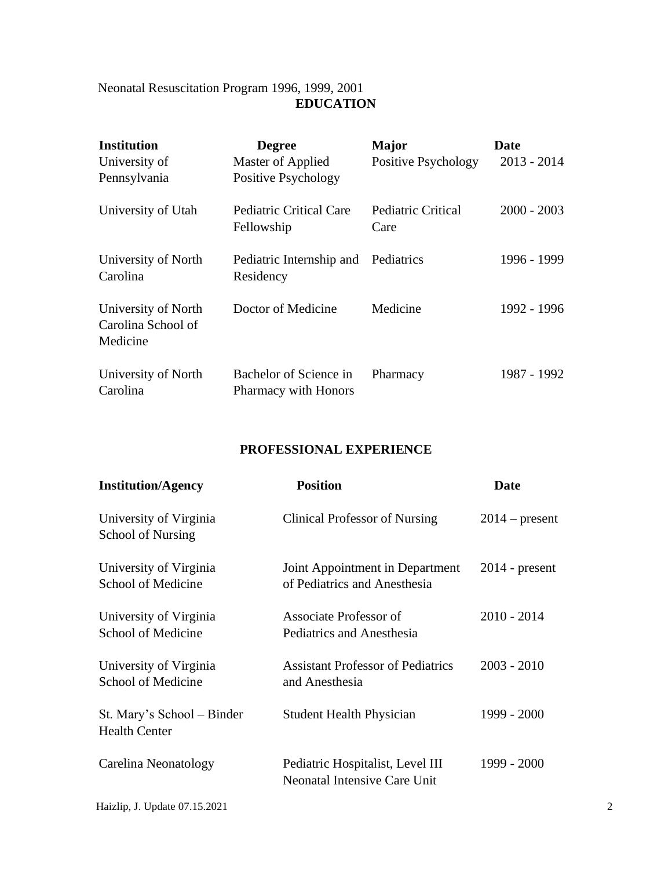## Neonatal Resuscitation Program 1996, 1999, 2001 **EDUCATION**

| <b>Institution</b><br>University of<br>Pennsylvania   | <b>Degree</b><br>Master of Applied<br>Positive Psychology | <b>Major</b><br>Positive Psychology | Date<br>$2013 - 2014$ |
|-------------------------------------------------------|-----------------------------------------------------------|-------------------------------------|-----------------------|
| University of Utah                                    | Pediatric Critical Care<br>Fellowship                     | Pediatric Critical<br>Care          | $2000 - 2003$         |
| University of North<br>Carolina                       | Pediatric Internship and<br>Residency                     | Pediatrics                          | 1996 - 1999           |
| University of North<br>Carolina School of<br>Medicine | Doctor of Medicine                                        | Medicine                            | 1992 - 1996           |
| University of North<br>Carolina                       | Bachelor of Science in<br>Pharmacy with Honors            | Pharmacy                            | 1987 - 1992           |

# **PROFESSIONAL EXPERIENCE**

| <b>Institution/Agency</b>                          | <b>Position</b>                                                         | Date             |   |
|----------------------------------------------------|-------------------------------------------------------------------------|------------------|---|
| University of Virginia<br>School of Nursing        | <b>Clinical Professor of Nursing</b>                                    | $2014$ – present |   |
| University of Virginia<br>School of Medicine       | Joint Appointment in Department<br>of Pediatrics and Anesthesia         | $2014$ - present |   |
| University of Virginia<br>School of Medicine       | Associate Professor of<br>Pediatrics and Anesthesia                     | $2010 - 2014$    |   |
| University of Virginia<br>School of Medicine       | <b>Assistant Professor of Pediatrics</b><br>and Anesthesia              | $2003 - 2010$    |   |
| St. Mary's School – Binder<br><b>Health Center</b> | <b>Student Health Physician</b>                                         | 1999 - 2000      |   |
| Carelina Neonatology                               | Pediatric Hospitalist, Level III<br><b>Neonatal Intensive Care Unit</b> | 1999 - 2000      |   |
| Haizlip, J. Update 07.15.2021                      |                                                                         |                  | 2 |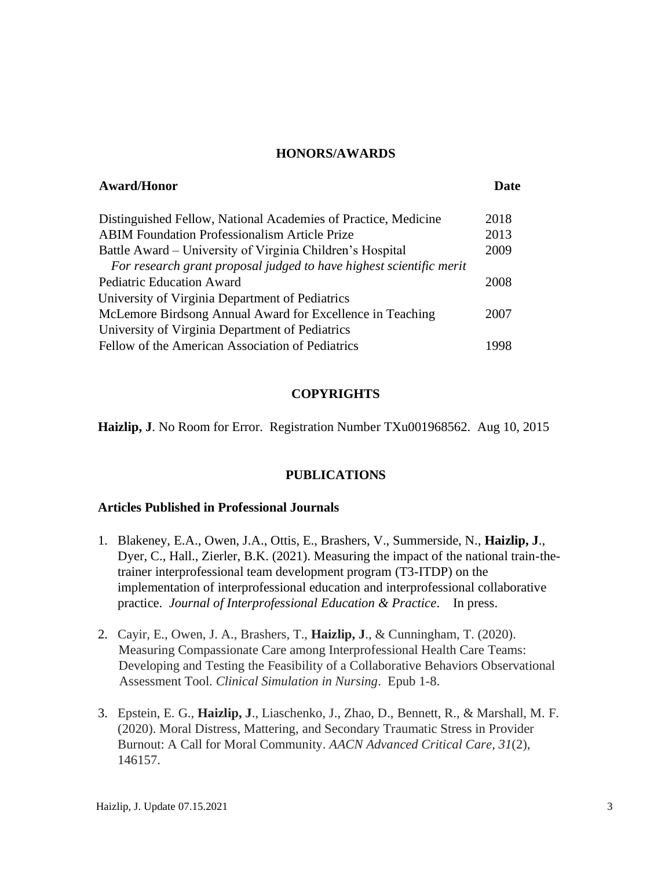#### **HONORS/AWARDS**

| <b>Award/Honor</b>                                                  | <b>Date</b> |
|---------------------------------------------------------------------|-------------|
| Distinguished Fellow, National Academies of Practice, Medicine      | 2018        |
| <b>ABIM Foundation Professionalism Article Prize</b>                | 2013        |
| Battle Award – University of Virginia Children's Hospital           | 2009        |
| For research grant proposal judged to have highest scientific merit |             |
| <b>Pediatric Education Award</b>                                    | 2008        |
| University of Virginia Department of Pediatrics                     |             |
| McLemore Birdsong Annual Award for Excellence in Teaching           | 2007        |
| University of Virginia Department of Pediatrics                     |             |
| Fellow of the American Association of Pediatrics                    | 1998        |

#### **COPYRIGHTS**

**Haizlip, J**. No Room for Error. Registration Number TXu001968562. Aug 10, 2015

#### **PUBLICATIONS**

#### **Articles Published in Professional Journals**

- 1. Blakeney, E.A., Owen, J.A., Ottis, E., Brashers, V., Summerside, N., **Haizlip, J**., Dyer, C., Hall., Zierler, B.K. (2021). Measuring the impact of the national train-thetrainer interprofessional team development program (T3-ITDP) on the implementation of interprofessional education and interprofessional collaborative practice. *Journal of Interprofessional Education & Practice*. In press.
- 2. Cayir, E., Owen, J. A., Brashers, T., **Haizlip, J**., & Cunningham, T. (2020). Measuring Compassionate Care among Interprofessional Health Care Teams: Developing and Testing the Feasibility of a Collaborative Behaviors Observational Assessment Tool. *Clinical Simulation in Nursing*. Epub 1-8.
- 3. Epstein, E. G., **Haizlip, J**., Liaschenko, J., Zhao, D., Bennett, R., & Marshall, M. F. (2020). Moral Distress, Mattering, and Secondary Traumatic Stress in Provider Burnout: A Call for Moral Community. *AACN Advanced Critical Care*, *31*(2), 146157.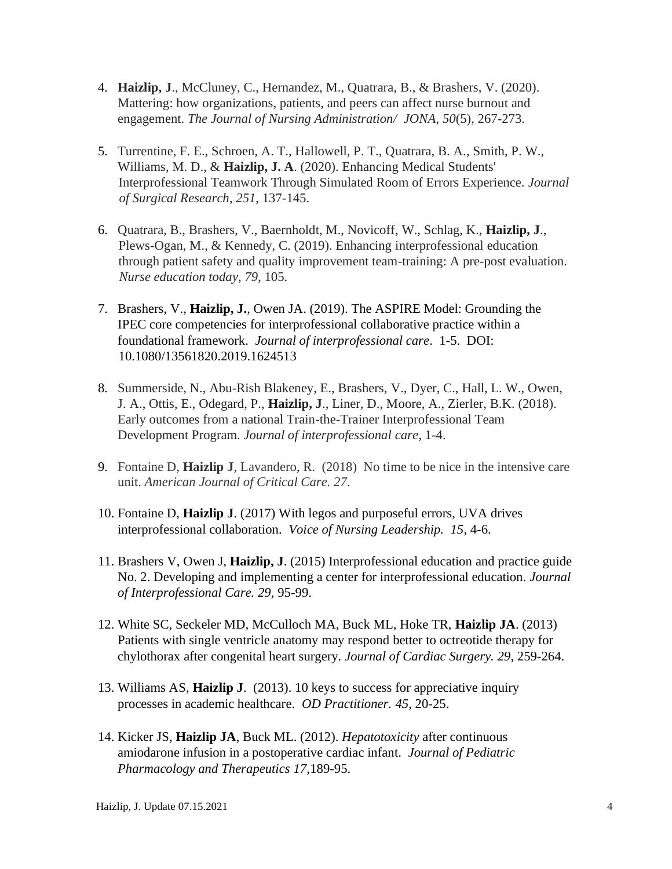- 4. **Haizlip, J**., McCluney, C., Hernandez, M., Quatrara, B., & Brashers, V. (2020). Mattering: how organizations, patients, and peers can affect nurse burnout and engagement. *The Journal of Nursing Administration/ JONA*, *50*(5), 267-273.
- 5. Turrentine, F. E., Schroen, A. T., Hallowell, P. T., Quatrara, B. A., Smith, P. W., Williams, M. D., & **Haizlip, J. A**. (2020). Enhancing Medical Students' Interprofessional Teamwork Through Simulated Room of Errors Experience. *Journal of Surgical Research*, *251*, 137-145.
- 6. Quatrara, B., Brashers, V., Baernholdt, M., Novicoff, W., Schlag, K., **Haizlip, J**., Plews-Ogan, M., & Kennedy, C. (2019). Enhancing interprofessional education through patient safety and quality improvement team-training: A pre-post evaluation. *Nurse education today*, *79*, 105.
- 7. Brashers, V., **Haizlip, J.**, Owen JA. (2019). The ASPIRE Model: Grounding the IPEC core competencies for interprofessional collaborative practice within a foundational framework. *Journal of interprofessional care*. 1-5. DOI: 10.1080/13561820.2019.1624513
- 8. Summerside, N., Abu-Rish Blakeney, E., Brashers, V., Dyer, C., Hall, L. W., Owen, J. A., Ottis, E., Odegard, P., **Haizlip, J**., Liner, D., Moore, A., Zierler, B.K. (2018). Early outcomes from a national Train-the-Trainer Interprofessional Team Development Program. *Journal of interprofessional care*, 1-4.
- 9. Fontaine D, **Haizlip J**, Lavandero, R. (2018) No time to be nice in the intensive care unit. *American Journal of Critical Care. 27*.
- 10. Fontaine D, **Haizlip J**. (2017) With legos and purposeful errors, UVA drives interprofessional collaboration. *Voice of Nursing Leadership. 15*, 4-6.
- 11. Brashers V, Owen J, **Haizlip, J**. (2015) Interprofessional education and practice guide No. 2. Developing and implementing a center for interprofessional education. *Journal of Interprofessional Care. 29*, 95-99.
- 12. White SC, Seckeler MD, McCulloch MA, Buck ML, Hoke TR, **Haizlip JA**. (2013) Patients with single ventricle anatomy may respond better to octreotide therapy for chylothorax after congenital heart surgery*. Journal of Cardiac Surgery. 29*, 259-264.
- 13. Williams AS, **Haizlip J**. (2013). 10 keys to success for appreciative inquiry processes in academic healthcare. *OD Practitioner. 45*, 20-25.
- 14. Kicker JS, **Haizlip JA**, Buck ML. (2012). *Hepatotoxicity* after continuous amiodarone infusion in a postoperative cardiac infant. *Journal of Pediatric Pharmacology and Therapeutics 17,*189-95.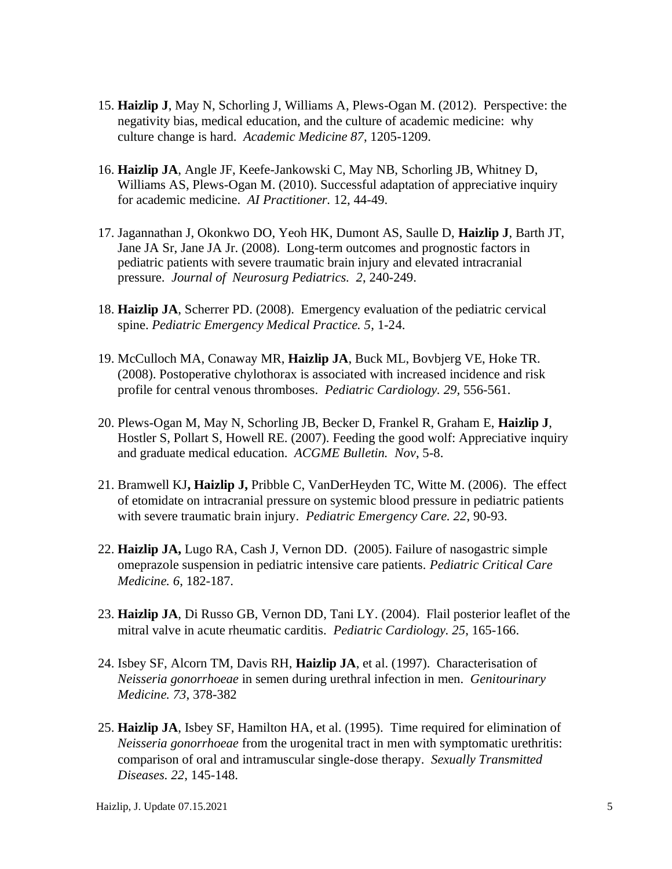- 15. **Haizlip J**, May N, Schorling J, Williams A, Plews-Ogan M. (2012). Perspective: the negativity bias, medical education, and the culture of academic medicine: why culture change is hard. *Academic Medicine 87*, 1205-1209.
- 16. **Haizlip JA**, Angle JF, Keefe-Jankowski C, May NB, Schorling JB, Whitney D, Williams AS, Plews-Ogan M. (2010). Successful adaptation of appreciative inquiry for academic medicine. *AI Practitioner.* 12, 44-49.
- 17. Jagannathan J, Okonkwo DO, Yeoh HK, Dumont AS, Saulle D, **Haizlip J**, Barth JT, Jane JA Sr, Jane JA Jr. (2008). Long-term outcomes and prognostic factors in pediatric patients with severe traumatic brain injury and elevated intracranial pressure. *Journal of Neurosurg Pediatrics. 2*, 240-249.
- 18. **Haizlip JA**, Scherrer PD. (2008). Emergency evaluation of the pediatric cervical spine. *Pediatric Emergency Medical Practice. 5*, 1-24.
- 19. McCulloch MA, Conaway MR, **Haizlip JA**, Buck ML, Bovbjerg VE, Hoke TR. (2008). Postoperative chylothorax is associated with increased incidence and risk profile for central venous thromboses. *Pediatric Cardiology. 29,* 556-561.
- 20. Plews-Ogan M, May N, Schorling JB, Becker D, Frankel R, Graham E, **Haizlip J**, Hostler S, Pollart S, Howell RE. (2007). Feeding the good wolf: Appreciative inquiry and graduate medical education. *ACGME Bulletin. Nov*, 5-8.
- 21. Bramwell KJ**, Haizlip J,** Pribble C, VanDerHeyden TC, Witte M. (2006). The effect of etomidate on intracranial pressure on systemic blood pressure in pediatric patients with severe traumatic brain injury. *Pediatric Emergency Care. 22*, 90-93.
- 22. **Haizlip JA,** Lugo RA, Cash J, Vernon DD. (2005). Failure of nasogastric simple omeprazole suspension in pediatric intensive care patients*. Pediatric Critical Care Medicine. 6*, 182-187.
- 23. **Haizlip JA**, Di Russo GB, Vernon DD, Tani LY. (2004). Flail posterior leaflet of the mitral valve in acute rheumatic carditis. *Pediatric Cardiology. 25*, 165-166.
- 24. Isbey SF, Alcorn TM, Davis RH, **Haizlip JA**, et al. (1997). Characterisation of *Neisseria gonorrhoeae* in semen during urethral infection in men. *Genitourinary Medicine. 73*, 378-382
- 25. **Haizlip JA**, Isbey SF, Hamilton HA, et al. (1995). Time required for elimination of *Neisseria gonorrhoeae* from the urogenital tract in men with symptomatic urethritis: comparison of oral and intramuscular single-dose therapy. *Sexually Transmitted Diseases. 22*, 145-148.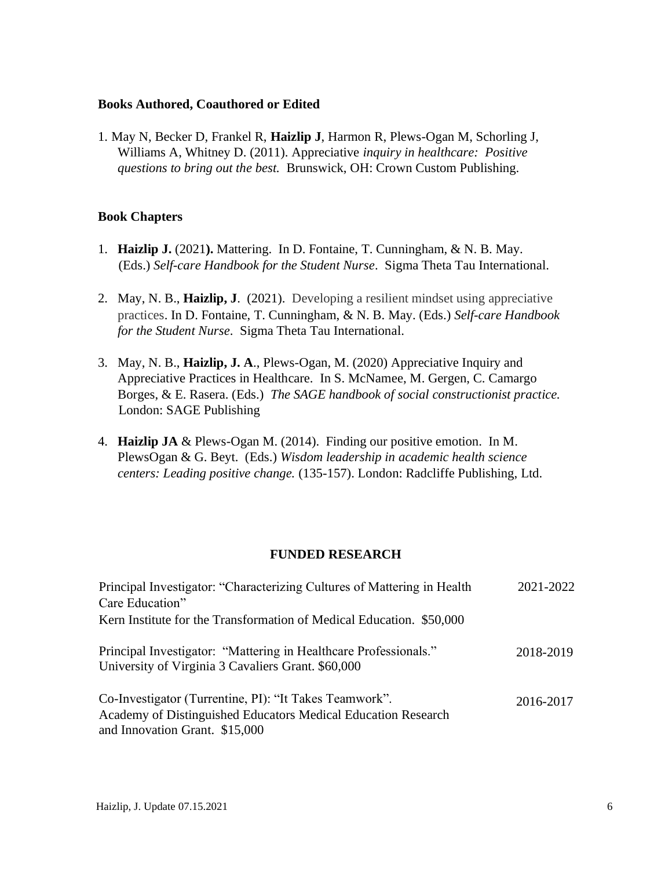#### **Books Authored, Coauthored or Edited**

1. May N, Becker D, Frankel R, **Haizlip J**, Harmon R, Plews-Ogan M, Schorling J, Williams A, Whitney D. (2011). Appreciative *inquiry in healthcare: Positive questions to bring out the best.* Brunswick, OH: Crown Custom Publishing.

### **Book Chapters**

- 1. **Haizlip J.** (2021**).** Mattering. In D. Fontaine, T. Cunningham, & N. B. May. (Eds.) *Self-care Handbook for the Student Nurse*. Sigma Theta Tau International.
- 2. May, N. B., **Haizlip, J**. (2021). Developing a resilient mindset using appreciative practices. In D. Fontaine, T. Cunningham, & N. B. May. (Eds.) *Self-care Handbook for the Student Nurse*. Sigma Theta Tau International.
- 3. May, N. B., **Haizlip, J. A**., Plews-Ogan, M. (2020) Appreciative Inquiry and Appreciative Practices in Healthcare. In S. McNamee, M. Gergen, C. Camargo Borges, & E. Rasera. (Eds.) *The SAGE handbook of social constructionist practice.* London: SAGE Publishing
- 4. **Haizlip JA** & Plews-Ogan M. (2014). Finding our positive emotion. In M. PlewsOgan & G. Beyt. (Eds.) *Wisdom leadership in academic health science centers: Leading positive change.* (135-157). London: Radcliffe Publishing, Ltd.

#### **FUNDED RESEARCH**

| Principal Investigator: "Characterizing Cultures of Mattering in Health                                                                                   | 2021-2022 |
|-----------------------------------------------------------------------------------------------------------------------------------------------------------|-----------|
| Care Education"                                                                                                                                           |           |
| Kern Institute for the Transformation of Medical Education. \$50,000                                                                                      |           |
| Principal Investigator: "Mattering in Healthcare Professionals."<br>University of Virginia 3 Cavaliers Grant. \$60,000                                    | 2018-2019 |
| Co-Investigator (Turrentine, PI): "It Takes Teamwork".<br>Academy of Distinguished Educators Medical Education Research<br>and Innovation Grant. \$15,000 | 2016-2017 |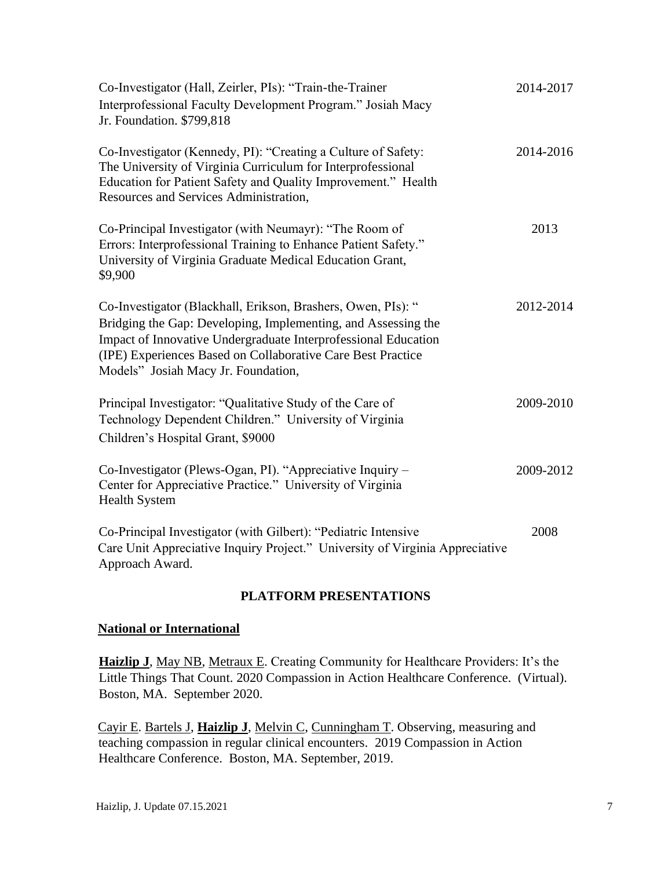| Co-Investigator (Hall, Zeirler, PIs): "Train-the-Trainer<br>Interprofessional Faculty Development Program." Josiah Macy<br>Jr. Foundation. \$799,818                                                                                                                                                  | 2014-2017 |
|-------------------------------------------------------------------------------------------------------------------------------------------------------------------------------------------------------------------------------------------------------------------------------------------------------|-----------|
| Co-Investigator (Kennedy, PI): "Creating a Culture of Safety:<br>The University of Virginia Curriculum for Interprofessional<br>Education for Patient Safety and Quality Improvement." Health<br>Resources and Services Administration,                                                               | 2014-2016 |
| Co-Principal Investigator (with Neumayr): "The Room of<br>Errors: Interprofessional Training to Enhance Patient Safety."<br>University of Virginia Graduate Medical Education Grant,<br>\$9,900                                                                                                       | 2013      |
| Co-Investigator (Blackhall, Erikson, Brashers, Owen, PIs): "<br>Bridging the Gap: Developing, Implementing, and Assessing the<br>Impact of Innovative Undergraduate Interprofessional Education<br>(IPE) Experiences Based on Collaborative Care Best Practice<br>Models" Josiah Macy Jr. Foundation, | 2012-2014 |
| Principal Investigator: "Qualitative Study of the Care of<br>Technology Dependent Children." University of Virginia<br>Children's Hospital Grant, \$9000                                                                                                                                              | 2009-2010 |
| Co-Investigator (Plews-Ogan, PI). "Appreciative Inquiry -<br>Center for Appreciative Practice." University of Virginia<br><b>Health System</b>                                                                                                                                                        | 2009-2012 |
| Co-Principal Investigator (with Gilbert): "Pediatric Intensive<br>Care Unit Appreciative Inquiry Project." University of Virginia Appreciative<br>Approach Award.                                                                                                                                     | 2008      |

### **PLATFORM PRESENTATIONS**

### **National or International**

**Haizlip J**, May NB, Metraux E. Creating Community for Healthcare Providers: It's the Little Things That Count. 2020 Compassion in Action Healthcare Conference. (Virtual). Boston, MA. September 2020.

Cayir E. Bartels J, **Haizlip J**, Melvin C, Cunningham T. Observing, measuring and teaching compassion in regular clinical encounters. 2019 Compassion in Action Healthcare Conference. Boston, MA. September, 2019.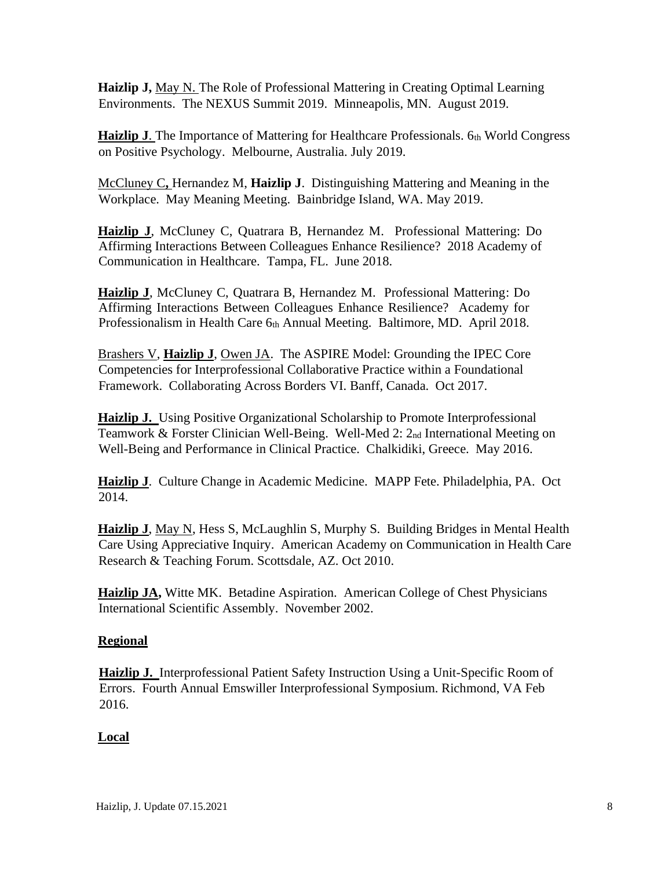**Haizlip J, May N.** The Role of Professional Mattering in Creating Optimal Learning Environments. The NEXUS Summit 2019. Minneapolis, MN. August 2019.

**Haizlip J.** The Importance of Mattering for Healthcare Professionals. 6th World Congress on Positive Psychology. Melbourne, Australia. July 2019.

McCluney C**,** Hernandez M, **Haizlip J**. Distinguishing Mattering and Meaning in the Workplace. May Meaning Meeting. Bainbridge Island, WA. May 2019.

**Haizlip J**, McCluney C, Quatrara B, Hernandez M. Professional Mattering: Do Affirming Interactions Between Colleagues Enhance Resilience? 2018 Academy of Communication in Healthcare. Tampa, FL. June 2018.

**Haizlip J**, McCluney C, Quatrara B, Hernandez M. Professional Mattering: Do Affirming Interactions Between Colleagues Enhance Resilience? Academy for Professionalism in Health Care 6th Annual Meeting. Baltimore, MD. April 2018.

Brashers V, **Haizlip J**, Owen JA. The ASPIRE Model: Grounding the IPEC Core Competencies for Interprofessional Collaborative Practice within a Foundational Framework. Collaborating Across Borders VI. Banff, Canada. Oct 2017.

**Haizlip J.** Using Positive Organizational Scholarship to Promote Interprofessional Teamwork & Forster Clinician Well-Being. Well-Med 2: 2nd International Meeting on Well-Being and Performance in Clinical Practice. Chalkidiki, Greece. May 2016.

**Haizlip J**. Culture Change in Academic Medicine. MAPP Fete. Philadelphia, PA. Oct 2014.

**Haizlip J**, May N, Hess S, McLaughlin S, Murphy S. Building Bridges in Mental Health Care Using Appreciative Inquiry. American Academy on Communication in Health Care Research & Teaching Forum. Scottsdale, AZ. Oct 2010.

**Haizlip JA,** Witte MK. Betadine Aspiration. American College of Chest Physicians International Scientific Assembly. November 2002.

## **Regional**

**Haizlip J.** Interprofessional Patient Safety Instruction Using a Unit-Specific Room of Errors. Fourth Annual Emswiller Interprofessional Symposium. Richmond, VA Feb 2016.

## **Local**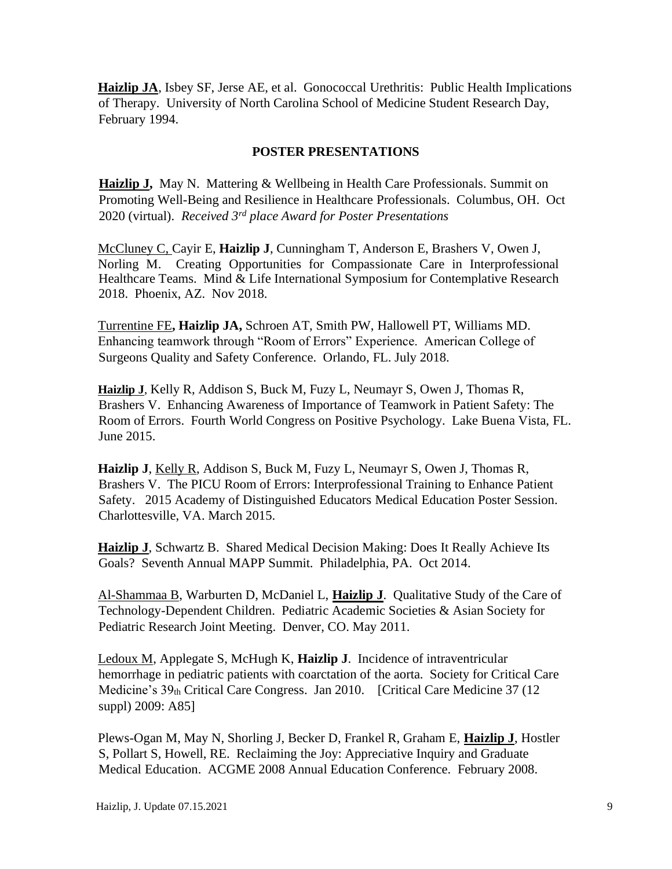**Haizlip JA**, Isbey SF, Jerse AE, et al. Gonococcal Urethritis: Public Health Implications of Therapy. University of North Carolina School of Medicine Student Research Day, February 1994.

### **POSTER PRESENTATIONS**

**Haizlip J,** May N. Mattering & Wellbeing in Health Care Professionals. Summit on Promoting Well-Being and Resilience in Healthcare Professionals. Columbus, OH. Oct 2020 (virtual). *Received 3rd place Award for Poster Presentations*

McCluney C, Cayir E, **Haizlip J**, Cunningham T, Anderson E, Brashers V, Owen J, Norling M. Creating Opportunities for Compassionate Care in Interprofessional Healthcare Teams. Mind & Life International Symposium for Contemplative Research 2018. Phoenix, AZ. Nov 2018.

Turrentine FE**, Haizlip JA,** Schroen AT, Smith PW, Hallowell PT, Williams MD. Enhancing teamwork through "Room of Errors" Experience. American College of Surgeons Quality and Safety Conference. Orlando, FL. July 2018.

**Haizlip J**, Kelly R, Addison S, Buck M, Fuzy L, Neumayr S, Owen J, Thomas R, Brashers V. Enhancing Awareness of Importance of Teamwork in Patient Safety: The Room of Errors. Fourth World Congress on Positive Psychology. Lake Buena Vista, FL. June 2015.

**Haizlip J**, Kelly R, Addison S, Buck M, Fuzy L, Neumayr S, Owen J, Thomas R, Brashers V. The PICU Room of Errors: Interprofessional Training to Enhance Patient Safety. 2015 Academy of Distinguished Educators Medical Education Poster Session. Charlottesville, VA. March 2015.

**Haizlip J**, Schwartz B. Shared Medical Decision Making: Does It Really Achieve Its Goals? Seventh Annual MAPP Summit. Philadelphia, PA. Oct 2014.

Al-Shammaa B, Warburten D, McDaniel L, **Haizlip J**. Qualitative Study of the Care of Technology-Dependent Children. Pediatric Academic Societies & Asian Society for Pediatric Research Joint Meeting. Denver, CO. May 2011.

Ledoux M, Applegate S, McHugh K, **Haizlip J**. Incidence of intraventricular hemorrhage in pediatric patients with coarctation of the aorta. Society for Critical Care Medicine's 39th Critical Care Congress. Jan 2010. [Critical Care Medicine 37 (12 suppl) 2009: A85]

Plews-Ogan M, May N, Shorling J, Becker D, Frankel R, Graham E, **Haizlip J**, Hostler S, Pollart S, Howell, RE. Reclaiming the Joy: Appreciative Inquiry and Graduate Medical Education. ACGME 2008 Annual Education Conference. February 2008.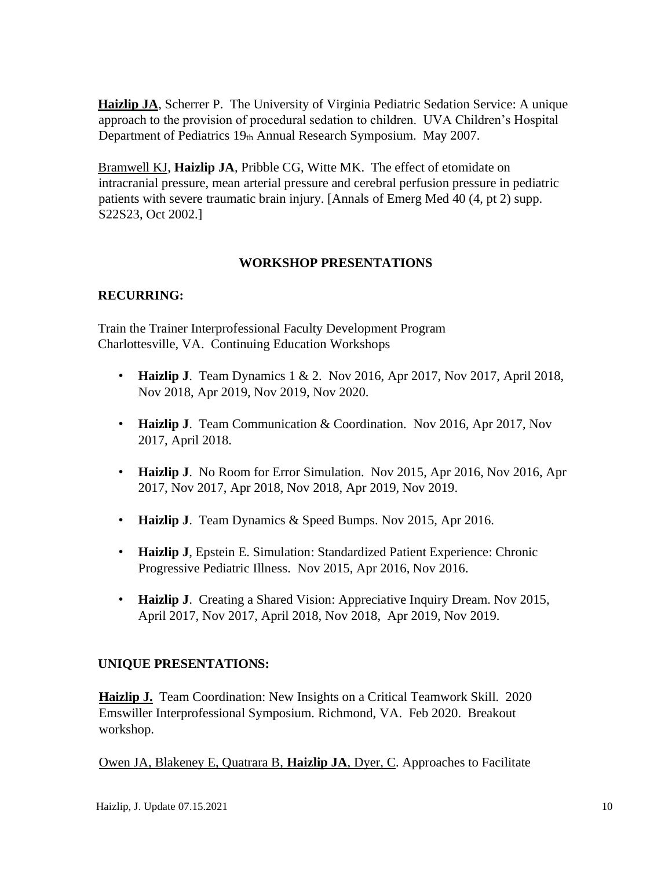**Haizlip JA**, Scherrer P. The University of Virginia Pediatric Sedation Service: A unique approach to the provision of procedural sedation to children. UVA Children's Hospital Department of Pediatrics 19th Annual Research Symposium. May 2007.

Bramwell KJ, **Haizlip JA**, Pribble CG, Witte MK. The effect of etomidate on intracranial pressure, mean arterial pressure and cerebral perfusion pressure in pediatric patients with severe traumatic brain injury. [Annals of Emerg Med 40 (4, pt 2) supp. S22S23, Oct 2002.]

## **WORKSHOP PRESENTATIONS**

## **RECURRING:**

Train the Trainer Interprofessional Faculty Development Program Charlottesville, VA. Continuing Education Workshops

- **Haizlip J**. Team Dynamics 1 & 2. Nov 2016, Apr 2017, Nov 2017, April 2018, Nov 2018, Apr 2019, Nov 2019, Nov 2020.
- **Haizlip J**. Team Communication & Coordination. Nov 2016, Apr 2017, Nov 2017, April 2018.
- **Haizlip J**. No Room for Error Simulation. Nov 2015, Apr 2016, Nov 2016, Apr 2017, Nov 2017, Apr 2018, Nov 2018, Apr 2019, Nov 2019.
- **Haizlip J**. Team Dynamics & Speed Bumps. Nov 2015, Apr 2016.
- **Haizlip J**, Epstein E. Simulation: Standardized Patient Experience: Chronic Progressive Pediatric Illness. Nov 2015, Apr 2016, Nov 2016.
- **Haizlip J**. Creating a Shared Vision: Appreciative Inquiry Dream. Nov 2015, April 2017, Nov 2017, April 2018, Nov 2018, Apr 2019, Nov 2019.

## **UNIQUE PRESENTATIONS:**

**Haizlip J.** Team Coordination: New Insights on a Critical Teamwork Skill. 2020 Emswiller Interprofessional Symposium. Richmond, VA. Feb 2020. Breakout workshop.

Owen JA, Blakeney E, Quatrara B, **Haizlip JA**, Dyer, C. Approaches to Facilitate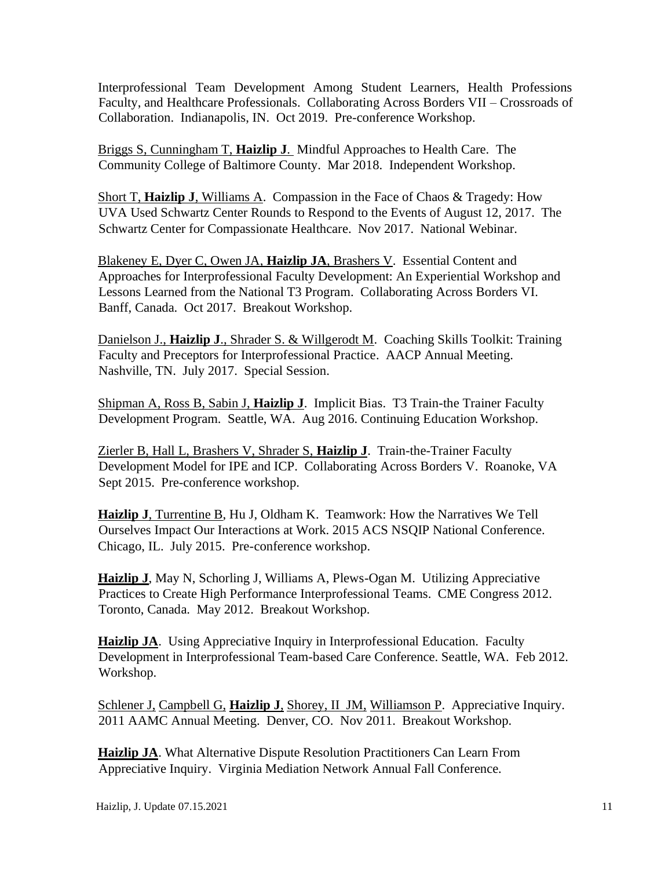Interprofessional Team Development Among Student Learners, Health Professions Faculty, and Healthcare Professionals. Collaborating Across Borders VII – Crossroads of Collaboration. Indianapolis, IN. Oct 2019. Pre-conference Workshop.

Briggs S, Cunningham T, **Haizlip J**. Mindful Approaches to Health Care. The Community College of Baltimore County. Mar 2018. Independent Workshop.

Short T, **Haizlip J**, Williams A. Compassion in the Face of Chaos & Tragedy: How UVA Used Schwartz Center Rounds to Respond to the Events of August 12, 2017. The Schwartz Center for Compassionate Healthcare. Nov 2017. National Webinar.

Blakeney E, Dyer C, Owen JA, **Haizlip JA**, Brashers V. Essential Content and Approaches for Interprofessional Faculty Development: An Experiential Workshop and Lessons Learned from the National T3 Program. Collaborating Across Borders VI. Banff, Canada. Oct 2017. Breakout Workshop.

Danielson J., **Haizlip J**., Shrader S. & Willgerodt M. Coaching Skills Toolkit: Training Faculty and Preceptors for Interprofessional Practice. AACP Annual Meeting. Nashville, TN. July 2017. Special Session.

Shipman A, Ross B, Sabin J, **Haizlip J**. Implicit Bias. T3 Train-the Trainer Faculty Development Program. Seattle, WA. Aug 2016. Continuing Education Workshop.

Zierler B, Hall L, Brashers V, Shrader S, **Haizlip J**. Train-the-Trainer Faculty Development Model for IPE and ICP. Collaborating Across Borders V. Roanoke, VA Sept 2015. Pre-conference workshop.

**Haizlip J**, Turrentine B, Hu J, Oldham K. Teamwork: How the Narratives We Tell Ourselves Impact Our Interactions at Work. 2015 ACS NSQIP National Conference. Chicago, IL. July 2015. Pre-conference workshop.

**Haizlip J**, May N, Schorling J, Williams A, Plews-Ogan M. Utilizing Appreciative Practices to Create High Performance Interprofessional Teams. CME Congress 2012. Toronto, Canada. May 2012. Breakout Workshop.

**Haizlip JA.** Using Appreciative Inquiry in Interprofessional Education. Faculty Development in Interprofessional Team-based Care Conference. Seattle, WA. Feb 2012. Workshop.

Schlener J, Campbell G, Haizlip J, Shorey, II JM, Williamson P. Appreciative Inquiry. 2011 AAMC Annual Meeting. Denver, CO. Nov 2011. Breakout Workshop.

**Haizlip JA**. What Alternative Dispute Resolution Practitioners Can Learn From Appreciative Inquiry. Virginia Mediation Network Annual Fall Conference.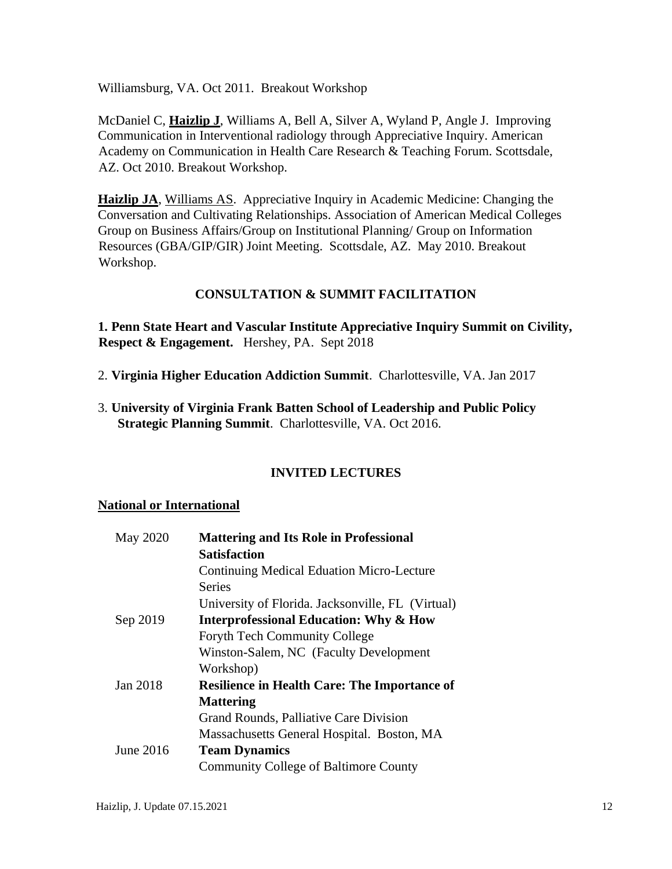Williamsburg, VA. Oct 2011. Breakout Workshop

McDaniel C, **Haizlip J**, Williams A, Bell A, Silver A, Wyland P, Angle J. Improving Communication in Interventional radiology through Appreciative Inquiry. American Academy on Communication in Health Care Research & Teaching Forum. Scottsdale, AZ. Oct 2010. Breakout Workshop.

**Haizlip JA**, Williams AS. Appreciative Inquiry in Academic Medicine: Changing the Conversation and Cultivating Relationships. Association of American Medical Colleges Group on Business Affairs/Group on Institutional Planning/ Group on Information Resources (GBA/GIP/GIR) Joint Meeting. Scottsdale, AZ. May 2010. Breakout Workshop.

## **CONSULTATION & SUMMIT FACILITATION**

**1. Penn State Heart and Vascular Institute Appreciative Inquiry Summit on Civility, Respect & Engagement.** Hershey, PA. Sept 2018

- 2. **Virginia Higher Education Addiction Summit**. Charlottesville, VA. Jan 2017
- 3. **University of Virginia Frank Batten School of Leadership and Public Policy Strategic Planning Summit**. Charlottesville, VA. Oct 2016.

## **INVITED LECTURES**

#### **National or International**

| May 2020  | <b>Mattering and Its Role in Professional</b>       |  |
|-----------|-----------------------------------------------------|--|
|           | <b>Satisfaction</b>                                 |  |
|           | <b>Continuing Medical Eduation Micro-Lecture</b>    |  |
|           | <b>Series</b>                                       |  |
|           | University of Florida. Jacksonville, FL (Virtual)   |  |
| Sep 2019  | <b>Interprofessional Education: Why &amp; How</b>   |  |
|           | <b>Foryth Tech Community College</b>                |  |
|           | Winston-Salem, NC (Faculty Development)             |  |
|           | Workshop)                                           |  |
| Jan 2018  | <b>Resilience in Health Care: The Importance of</b> |  |
|           | <b>Mattering</b>                                    |  |
|           | Grand Rounds, Palliative Care Division              |  |
|           | Massachusetts General Hospital. Boston, MA          |  |
| June 2016 | <b>Team Dynamics</b>                                |  |
|           | <b>Community College of Baltimore County</b>        |  |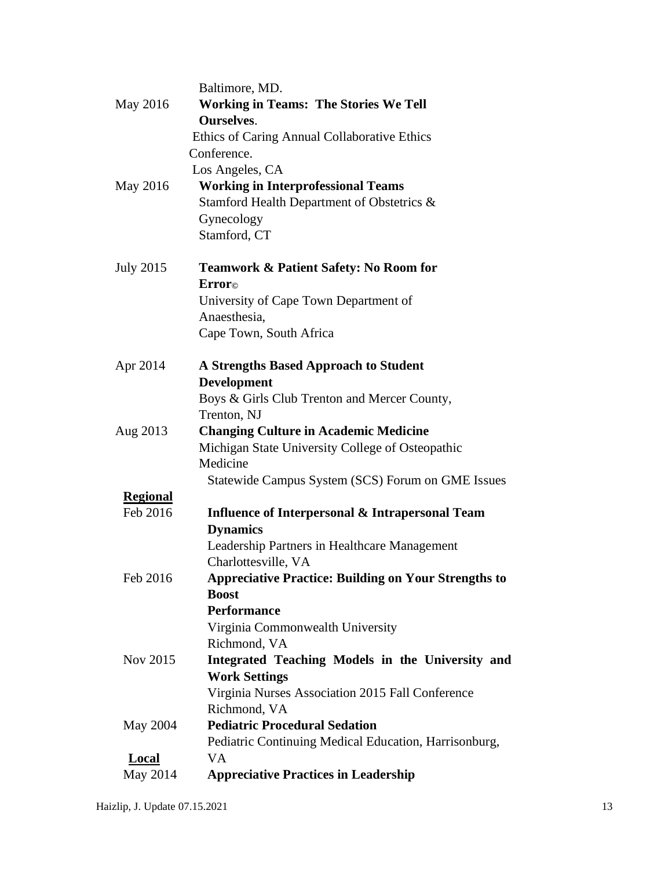|                  | Baltimore, MD.                                              |
|------------------|-------------------------------------------------------------|
| May 2016         | <b>Working in Teams: The Stories We Tell</b>                |
|                  | <b>Ourselves.</b>                                           |
|                  | Ethics of Caring Annual Collaborative Ethics                |
|                  | Conference.                                                 |
|                  | Los Angeles, CA                                             |
| May 2016         | <b>Working in Interprofessional Teams</b>                   |
|                  | Stamford Health Department of Obstetrics &                  |
|                  | Gynecology                                                  |
|                  | Stamford, CT                                                |
| <b>July 2015</b> | Teamwork & Patient Safety: No Room for                      |
|                  | Erroro                                                      |
|                  | University of Cape Town Department of                       |
|                  | Anaesthesia,                                                |
|                  | Cape Town, South Africa                                     |
| Apr 2014         | <b>A Strengths Based Approach to Student</b>                |
|                  | <b>Development</b>                                          |
|                  | Boys & Girls Club Trenton and Mercer County,                |
|                  | Trenton, NJ                                                 |
| Aug 2013         | <b>Changing Culture in Academic Medicine</b>                |
|                  | Michigan State University College of Osteopathic            |
|                  | Medicine                                                    |
|                  | Statewide Campus System (SCS) Forum on GME Issues           |
| <b>Regional</b>  |                                                             |
| Feb 2016         | <b>Influence of Interpersonal &amp; Intrapersonal Team</b>  |
|                  | <b>Dynamics</b>                                             |
|                  | Leadership Partners in Healthcare Management                |
|                  | Charlottesville, VA                                         |
| Feb 2016         | <b>Appreciative Practice: Building on Your Strengths to</b> |
|                  | <b>Boost</b>                                                |
|                  | <b>Performance</b>                                          |
|                  | Virginia Commonwealth University                            |
|                  | Richmond, VA                                                |
| Nov 2015         | Integrated Teaching Models in the University and            |
|                  | <b>Work Settings</b>                                        |
|                  | Virginia Nurses Association 2015 Fall Conference            |
|                  | Richmond, VA                                                |
| May 2004         | <b>Pediatric Procedural Sedation</b>                        |
|                  | Pediatric Continuing Medical Education, Harrisonburg,       |
| <b>Local</b>     | VA.                                                         |
| May 2014         | <b>Appreciative Practices in Leadership</b>                 |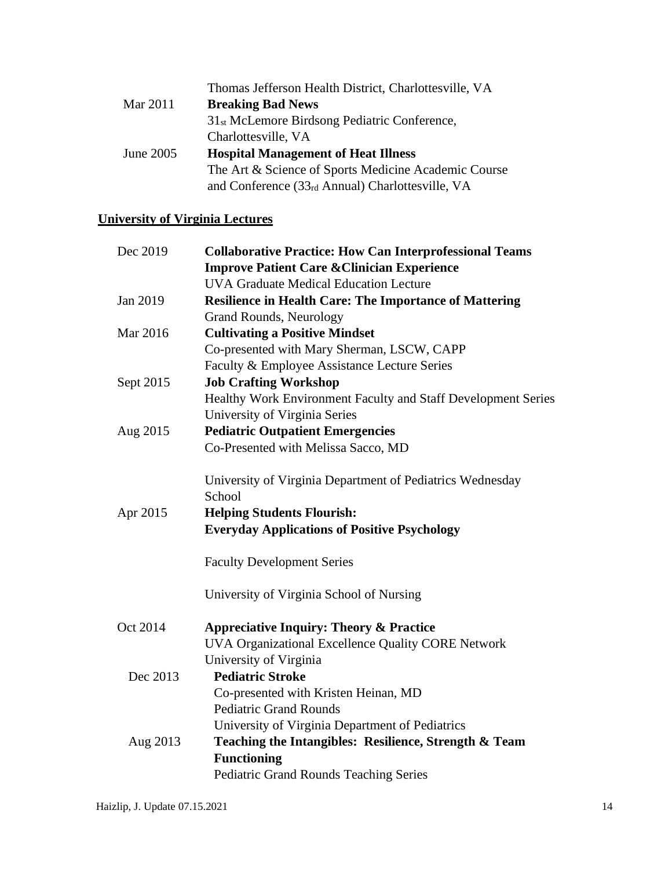|           | Thomas Jefferson Health District, Charlottesville, VA    |
|-----------|----------------------------------------------------------|
| Mar 2011  | <b>Breaking Bad News</b>                                 |
|           | 31 <sub>st</sub> McLemore Birdsong Pediatric Conference, |
|           | Charlottesville, VA                                      |
| June 2005 | <b>Hospital Management of Heat Illness</b>               |
|           | The Art & Science of Sports Medicine Academic Course     |
|           | and Conference $(33rd Annual)$ Charlottesville, VA       |

# **University of Virginia Lectures**

| Dec 2019  | <b>Collaborative Practice: How Can Interprofessional Teams</b> |
|-----------|----------------------------------------------------------------|
|           | <b>Improve Patient Care &amp; Clinician Experience</b>         |
|           | <b>UVA Graduate Medical Education Lecture</b>                  |
| Jan 2019  | <b>Resilience in Health Care: The Importance of Mattering</b>  |
|           | <b>Grand Rounds, Neurology</b>                                 |
| Mar 2016  | <b>Cultivating a Positive Mindset</b>                          |
|           | Co-presented with Mary Sherman, LSCW, CAPP                     |
|           | Faculty & Employee Assistance Lecture Series                   |
| Sept 2015 | <b>Job Crafting Workshop</b>                                   |
|           | Healthy Work Environment Faculty and Staff Development Series  |
|           | University of Virginia Series                                  |
| Aug 2015  | <b>Pediatric Outpatient Emergencies</b>                        |
|           | Co-Presented with Melissa Sacco, MD                            |
|           | University of Virginia Department of Pediatrics Wednesday      |
|           | School                                                         |
| Apr 2015  | <b>Helping Students Flourish:</b>                              |
|           | <b>Everyday Applications of Positive Psychology</b>            |
|           | <b>Faculty Development Series</b>                              |
|           | University of Virginia School of Nursing                       |
| Oct 2014  | <b>Appreciative Inquiry: Theory &amp; Practice</b>             |
|           | UVA Organizational Excellence Quality CORE Network             |
|           | University of Virginia                                         |
| Dec 2013  | <b>Pediatric Stroke</b>                                        |
|           | Co-presented with Kristen Heinan, MD                           |
|           | <b>Pediatric Grand Rounds</b>                                  |
|           | University of Virginia Department of Pediatrics                |
| Aug 2013  | Teaching the Intangibles: Resilience, Strength & Team          |
|           | <b>Functioning</b>                                             |
|           | <b>Pediatric Grand Rounds Teaching Series</b>                  |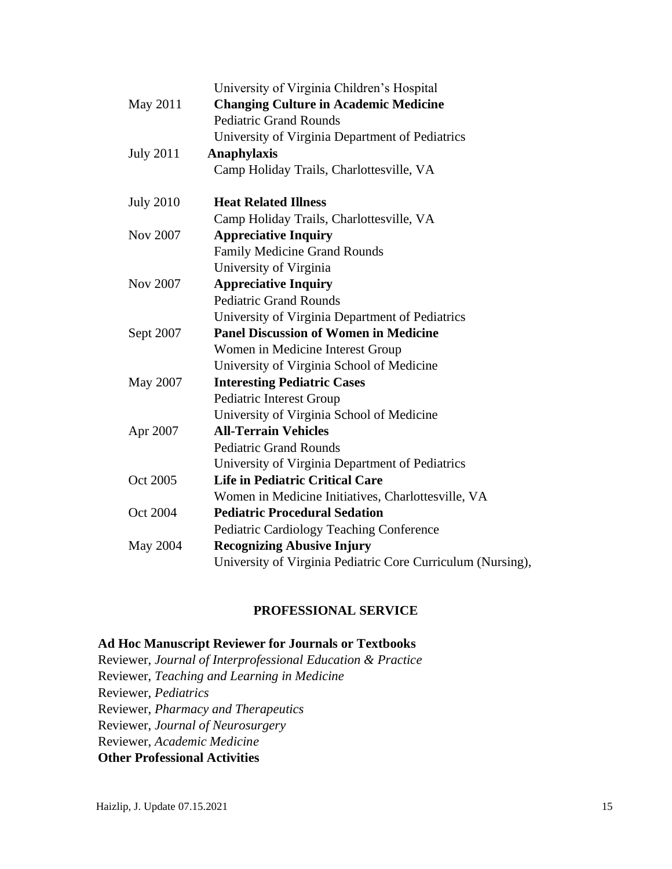|                  | University of Virginia Children's Hospital                  |
|------------------|-------------------------------------------------------------|
| May 2011         | <b>Changing Culture in Academic Medicine</b>                |
|                  | <b>Pediatric Grand Rounds</b>                               |
|                  | University of Virginia Department of Pediatrics             |
| <b>July 2011</b> | <b>Anaphylaxis</b>                                          |
|                  | Camp Holiday Trails, Charlottesville, VA                    |
| <b>July 2010</b> | <b>Heat Related Illness</b>                                 |
|                  | Camp Holiday Trails, Charlottesville, VA                    |
| Nov 2007         | <b>Appreciative Inquiry</b>                                 |
|                  | <b>Family Medicine Grand Rounds</b>                         |
|                  | University of Virginia                                      |
| Nov 2007         | <b>Appreciative Inquiry</b>                                 |
|                  | <b>Pediatric Grand Rounds</b>                               |
|                  | University of Virginia Department of Pediatrics             |
| Sept 2007        | <b>Panel Discussion of Women in Medicine</b>                |
|                  | Women in Medicine Interest Group                            |
|                  | University of Virginia School of Medicine                   |
| May 2007         | <b>Interesting Pediatric Cases</b>                          |
|                  | Pediatric Interest Group                                    |
|                  | University of Virginia School of Medicine                   |
| Apr 2007         | <b>All-Terrain Vehicles</b>                                 |
|                  | <b>Pediatric Grand Rounds</b>                               |
|                  | University of Virginia Department of Pediatrics             |
| Oct 2005         | <b>Life in Pediatric Critical Care</b>                      |
|                  | Women in Medicine Initiatives, Charlottesville, VA          |
| Oct 2004         | <b>Pediatric Procedural Sedation</b>                        |
|                  | Pediatric Cardiology Teaching Conference                    |
| May 2004         | <b>Recognizing Abusive Injury</b>                           |
|                  | University of Virginia Pediatric Core Curriculum (Nursing), |

## **PROFESSIONAL SERVICE**

## **Ad Hoc Manuscript Reviewer for Journals or Textbooks**

Reviewer, *Journal of Interprofessional Education & Practice* Reviewer, *Teaching and Learning in Medicine* Reviewer, *Pediatrics*  Reviewer, *Pharmacy and Therapeutics* Reviewer, *Journal of Neurosurgery* Reviewer, *Academic Medicine* **Other Professional Activities**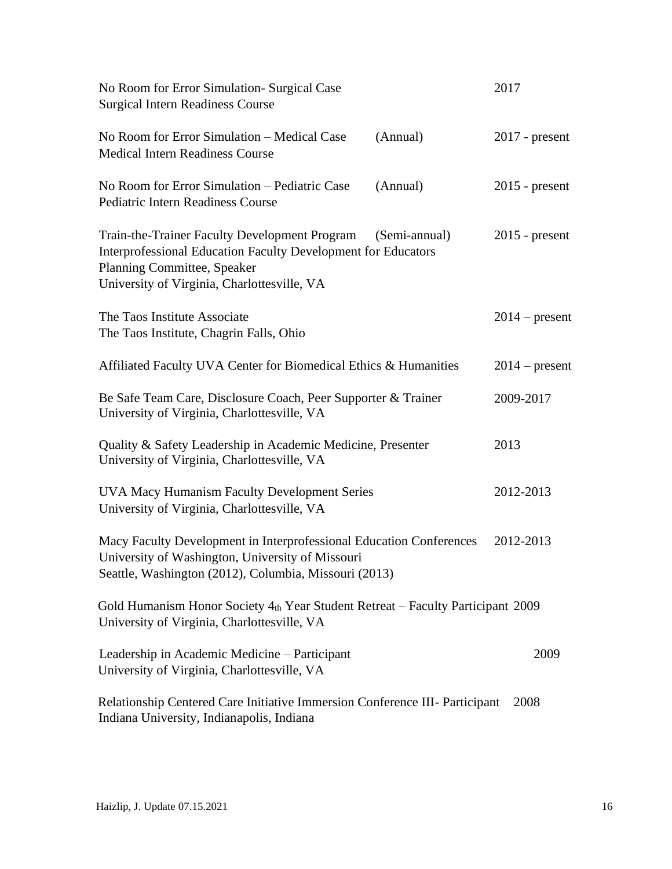| No Room for Error Simulation- Surgical Case<br><b>Surgical Intern Readiness Course</b>                                                                                                                        | 2017             |
|---------------------------------------------------------------------------------------------------------------------------------------------------------------------------------------------------------------|------------------|
| No Room for Error Simulation - Medical Case<br>(Annual)<br><b>Medical Intern Readiness Course</b>                                                                                                             | $2017$ - present |
| No Room for Error Simulation - Pediatric Case<br>(Annual)<br><b>Pediatric Intern Readiness Course</b>                                                                                                         | $2015$ - present |
| Train-the-Trainer Faculty Development Program<br>(Semi-annual)<br>Interprofessional Education Faculty Development for Educators<br>Planning Committee, Speaker<br>University of Virginia, Charlottesville, VA | $2015$ - present |
| The Taos Institute Associate<br>The Taos Institute, Chagrin Falls, Ohio                                                                                                                                       | $2014$ – present |
| Affiliated Faculty UVA Center for Biomedical Ethics & Humanities                                                                                                                                              | $2014$ – present |
| Be Safe Team Care, Disclosure Coach, Peer Supporter & Trainer<br>University of Virginia, Charlottesville, VA                                                                                                  | 2009-2017        |
| Quality & Safety Leadership in Academic Medicine, Presenter<br>University of Virginia, Charlottesville, VA                                                                                                    | 2013             |
| <b>UVA Macy Humanism Faculty Development Series</b><br>University of Virginia, Charlottesville, VA                                                                                                            | 2012-2013        |
| Macy Faculty Development in Interprofessional Education Conferences<br>University of Washington, University of Missouri<br>Seattle, Washington (2012), Columbia, Missouri (2013)                              | 2012-2013        |
| Gold Humanism Honor Society 4th Year Student Retreat – Faculty Participant 2009<br>University of Virginia, Charlottesville, VA                                                                                |                  |
| Leadership in Academic Medicine – Participant<br>University of Virginia, Charlottesville, VA                                                                                                                  | 2009             |
| Relationship Centered Care Initiative Immersion Conference III- Participant<br>Indiana University, Indianapolis, Indiana                                                                                      | 2008             |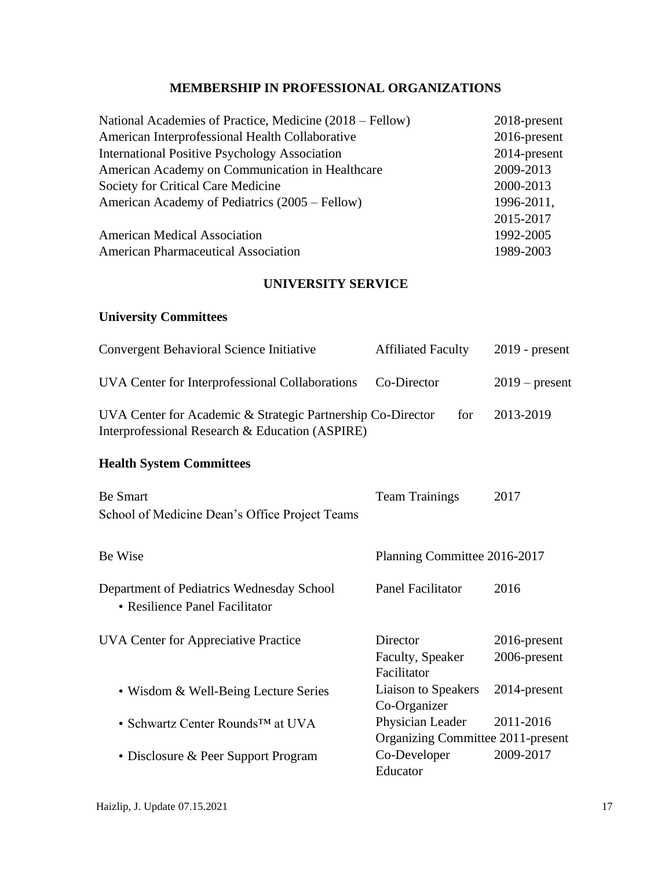# **MEMBERSHIP IN PROFESSIONAL ORGANIZATIONS**

| National Academies of Practice, Medicine (2018 – Fellow) | $2018$ -present |
|----------------------------------------------------------|-----------------|
| American Interprofessional Health Collaborative          | $2016$ -present |
| <b>International Positive Psychology Association</b>     | 2014-present    |
| American Academy on Communication in Healthcare          | 2009-2013       |
| Society for Critical Care Medicine                       | 2000-2013       |
| American Academy of Pediatrics (2005 – Fellow)           | 1996-2011,      |
|                                                          | 2015-2017       |
| <b>American Medical Association</b>                      | 1992-2005       |
| <b>American Pharmaceutical Association</b>               | 1989-2003       |
|                                                          |                 |

## **UNIVERSITY SERVICE**

# **University Committees**

| <b>Convergent Behavioral Science Initiative</b>                                                                | <b>Affiliated Faculty</b> | $2019$ - present |
|----------------------------------------------------------------------------------------------------------------|---------------------------|------------------|
| UVA Center for Interprofessional Collaborations Co-Director                                                    |                           | $2019$ – present |
| UVA Center for Academic & Strategic Partnership Co-Director<br>Interprofessional Research & Education (ASPIRE) | for                       | 2013-2019        |

# **Health System Committees**

| <b>Be Smart</b>                                                             | <b>Team Trainings</b>                                 | 2017                            |
|-----------------------------------------------------------------------------|-------------------------------------------------------|---------------------------------|
| School of Medicine Dean's Office Project Teams                              |                                                       |                                 |
| Be Wise                                                                     | Planning Committee 2016-2017                          |                                 |
| Department of Pediatrics Wednesday School<br>• Resilience Panel Facilitator | Panel Facilitator                                     | 2016                            |
| UVA Center for Appreciative Practice                                        | Director<br>Faculty, Speaker<br>Facilitator           | $2016$ -present<br>2006-present |
| • Wisdom & Well-Being Lecture Series                                        | Liaison to Speakers<br>Co-Organizer                   | 2014-present                    |
| • Schwartz Center Rounds <sup>TM</sup> at UVA                               | Physician Leader<br>Organizing Committee 2011-present | 2011-2016                       |
| • Disclosure & Peer Support Program                                         | Co-Developer<br>Educator                              | 2009-2017                       |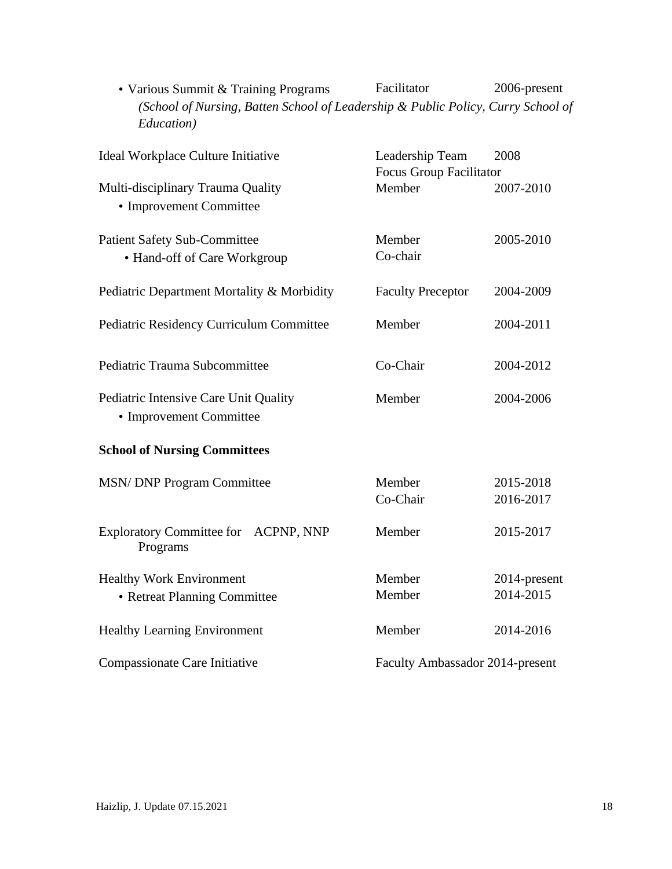| (School of Nursing, Batten School of Leadership & Public Policy, Curry School of<br>Education) |                                 |              |
|------------------------------------------------------------------------------------------------|---------------------------------|--------------|
| Ideal Workplace Culture Initiative                                                             | Leadership Team                 | 2008         |
|                                                                                                | Focus Group Facilitator         |              |
| Multi-disciplinary Trauma Quality                                                              | Member                          | 2007-2010    |
| • Improvement Committee                                                                        |                                 |              |
| <b>Patient Safety Sub-Committee</b>                                                            | Member                          | 2005-2010    |
| • Hand-off of Care Workgroup                                                                   | Co-chair                        |              |
| Pediatric Department Mortality & Morbidity                                                     | <b>Faculty Preceptor</b>        | 2004-2009    |
| Pediatric Residency Curriculum Committee                                                       | Member                          | 2004-2011    |
| Pediatric Trauma Subcommittee                                                                  | Co-Chair                        | 2004-2012    |
| Pediatric Intensive Care Unit Quality<br>• Improvement Committee                               | Member                          | 2004-2006    |
| <b>School of Nursing Committees</b>                                                            |                                 |              |
| <b>MSN/DNP Program Committee</b>                                                               | Member                          | 2015-2018    |
|                                                                                                | Co-Chair                        | 2016-2017    |
| Exploratory Committee for ACPNP, NNP<br>Programs                                               | Member                          | 2015-2017    |
| <b>Healthy Work Environment</b>                                                                | Member                          | 2014-present |
| • Retreat Planning Committee                                                                   | Member                          | 2014-2015    |
| <b>Healthy Learning Environment</b>                                                            | Member                          | 2014-2016    |
| Compassionate Care Initiative                                                                  | Faculty Ambassador 2014-present |              |

• Various Summit & Training Programs Facilitator 2006-present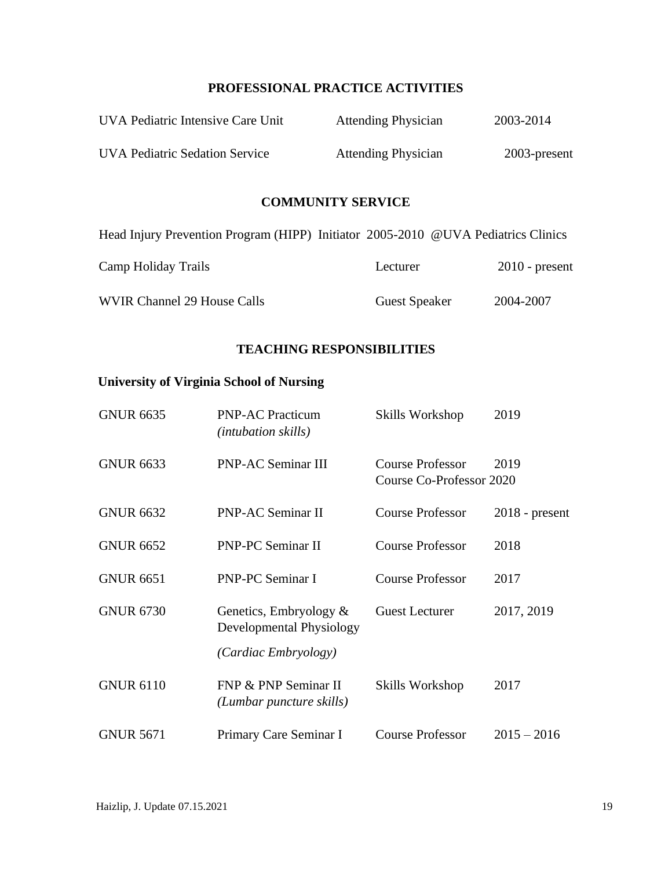## **PROFESSIONAL PRACTICE ACTIVITIES**

| UVA Pediatric Intensive Care Unit     | <b>Attending Physician</b> | 2003-2014       |
|---------------------------------------|----------------------------|-----------------|
| <b>UVA Pediatric Sedation Service</b> | <b>Attending Physician</b> | $2003$ -present |

## **COMMUNITY SERVICE**

| Head Injury Prevention Program (HIPP) Initiator 2005-2010 @UVA Pediatrics Clinics |                      |                  |
|-----------------------------------------------------------------------------------|----------------------|------------------|
| Camp Holiday Trails                                                               | Lecturer             | $2010$ - present |
| <b>WVIR Channel 29 House Calls</b>                                                | <b>Guest Speaker</b> | 2004-2007        |

#### **TEACHING RESPONSIBILITIES**

# **University of Virginia School of Nursing**

| <b>GNUR 6635</b> | <b>PNP-AC Practicum</b><br><i>(intubation skills)</i>                         | Skills Workshop                                     | 2019             |
|------------------|-------------------------------------------------------------------------------|-----------------------------------------------------|------------------|
| <b>GNUR 6633</b> | <b>PNP-AC Seminar III</b>                                                     | <b>Course Professor</b><br>Course Co-Professor 2020 | 2019             |
| <b>GNUR 6632</b> | PNP-AC Seminar II                                                             | <b>Course Professor</b>                             | $2018$ - present |
| <b>GNUR 6652</b> | PNP-PC Seminar II                                                             | <b>Course Professor</b>                             | 2018             |
| <b>GNUR 6651</b> | <b>PNP-PC Seminar I</b>                                                       | <b>Course Professor</b>                             | 2017             |
| <b>GNUR 6730</b> | Genetics, Embryology $\&$<br>Developmental Physiology<br>(Cardiac Embryology) | <b>Guest Lecturer</b>                               | 2017, 2019       |
| <b>GNUR 6110</b> | FNP & PNP Seminar II<br>(Lumbar puncture skills)                              | Skills Workshop                                     | 2017             |
| <b>GNUR 5671</b> | Primary Care Seminar I                                                        | <b>Course Professor</b>                             | $2015 - 2016$    |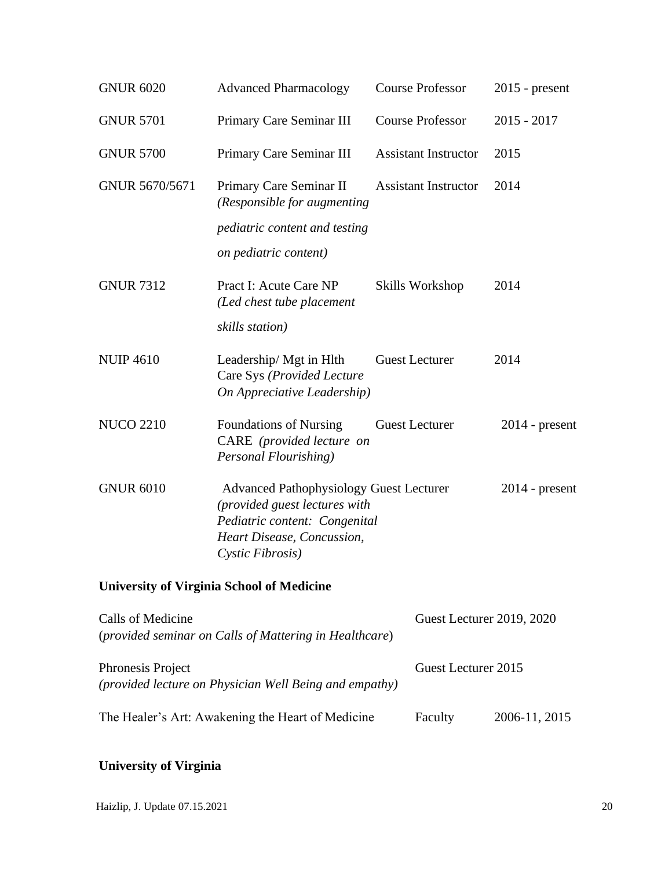| <b>GNUR 6020</b>  | <b>Advanced Pharmacology</b>                                                                                                                                       | <b>Course Professor</b>             | $2015$ - present |
|-------------------|--------------------------------------------------------------------------------------------------------------------------------------------------------------------|-------------------------------------|------------------|
| <b>GNUR 5701</b>  | Primary Care Seminar III                                                                                                                                           | <b>Course Professor</b>             | $2015 - 2017$    |
| <b>GNUR 5700</b>  | Primary Care Seminar III                                                                                                                                           | <b>Assistant Instructor</b>         | 2015             |
| GNUR 5670/5671    | Primary Care Seminar II<br>(Responsible for augmenting<br>pediatric content and testing<br>on pediatric content)                                                   | <b>Assistant Instructor</b>         | 2014             |
| <b>GNUR 7312</b>  | Pract I: Acute Care NP<br>(Led chest tube placement<br>skills station)                                                                                             | Skills Workshop                     | 2014             |
| <b>NUIP 4610</b>  | Leadership/ Mgt in Hlth<br>Care Sys (Provided Lecture<br>On Appreciative Leadership)                                                                               | <b>Guest Lecturer</b>               | 2014             |
| <b>NUCO 2210</b>  | <b>Foundations of Nursing</b><br>CARE (provided lecture on<br>Personal Flourishing)                                                                                | <b>Guest Lecturer</b>               | $2014$ - present |
| <b>GNUR 6010</b>  | <b>Advanced Pathophysiology Guest Lecturer</b><br>(provided guest lectures with<br>Pediatric content: Congenital<br>Heart Disease, Concussion,<br>Cystic Fibrosis) |                                     | $2014$ - present |
|                   | <b>University of Virginia School of Medicine</b>                                                                                                                   |                                     |                  |
| Calle of Modicino |                                                                                                                                                                    | $C_{\text{mod}}$ Looturer 2010 2020 |                  |

| Calls of Medicine<br>(provided seminar on Calls of Mattering in Healthcare)        | Guest Lecturer 2019, 2020 |               |
|------------------------------------------------------------------------------------|---------------------------|---------------|
| Phronesis Project<br><i>(provided lecture on Physician Well Being and empathy)</i> | Guest Lecturer 2015       |               |
| The Healer's Art: Awakening the Heart of Medicine                                  | Faculty                   | 2006-11, 2015 |

# **University of Virginia**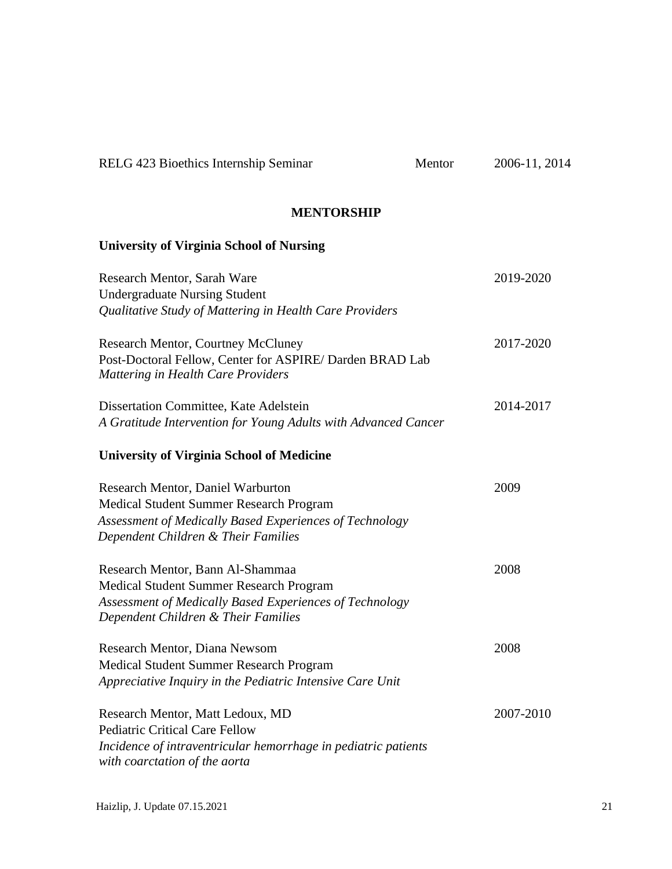| RELG 423 Bioethics Internship Seminar                                                                                                                                          | Mentor | 2006-11, 2014 |
|--------------------------------------------------------------------------------------------------------------------------------------------------------------------------------|--------|---------------|
| <b>MENTORSHIP</b>                                                                                                                                                              |        |               |
| <b>University of Virginia School of Nursing</b>                                                                                                                                |        |               |
| Research Mentor, Sarah Ware<br><b>Undergraduate Nursing Student</b><br>Qualitative Study of Mattering in Health Care Providers                                                 |        | 2019-2020     |
| <b>Research Mentor, Courtney McCluney</b><br>Post-Doctoral Fellow, Center for ASPIRE/Darden BRAD Lab<br><b>Mattering in Health Care Providers</b>                              |        | 2017-2020     |
| Dissertation Committee, Kate Adelstein<br>A Gratitude Intervention for Young Adults with Advanced Cancer                                                                       |        | 2014-2017     |
| <b>University of Virginia School of Medicine</b>                                                                                                                               |        |               |
| Research Mentor, Daniel Warburton<br>Medical Student Summer Research Program<br>Assessment of Medically Based Experiences of Technology<br>Dependent Children & Their Families |        | 2009          |
| Research Mentor, Bann Al-Shammaa<br>Medical Student Summer Research Program<br>Assessment of Medically Based Experiences of Technology<br>Dependent Children & Their Families  |        | 2008          |
| Research Mentor, Diana Newsom<br>Medical Student Summer Research Program<br>Appreciative Inquiry in the Pediatric Intensive Care Unit                                          |        | 2008          |
| Research Mentor, Matt Ledoux, MD<br><b>Pediatric Critical Care Fellow</b><br>Incidence of intraventricular hemorrhage in pediatric patients<br>with coarctation of the aorta   |        | 2007-2010     |